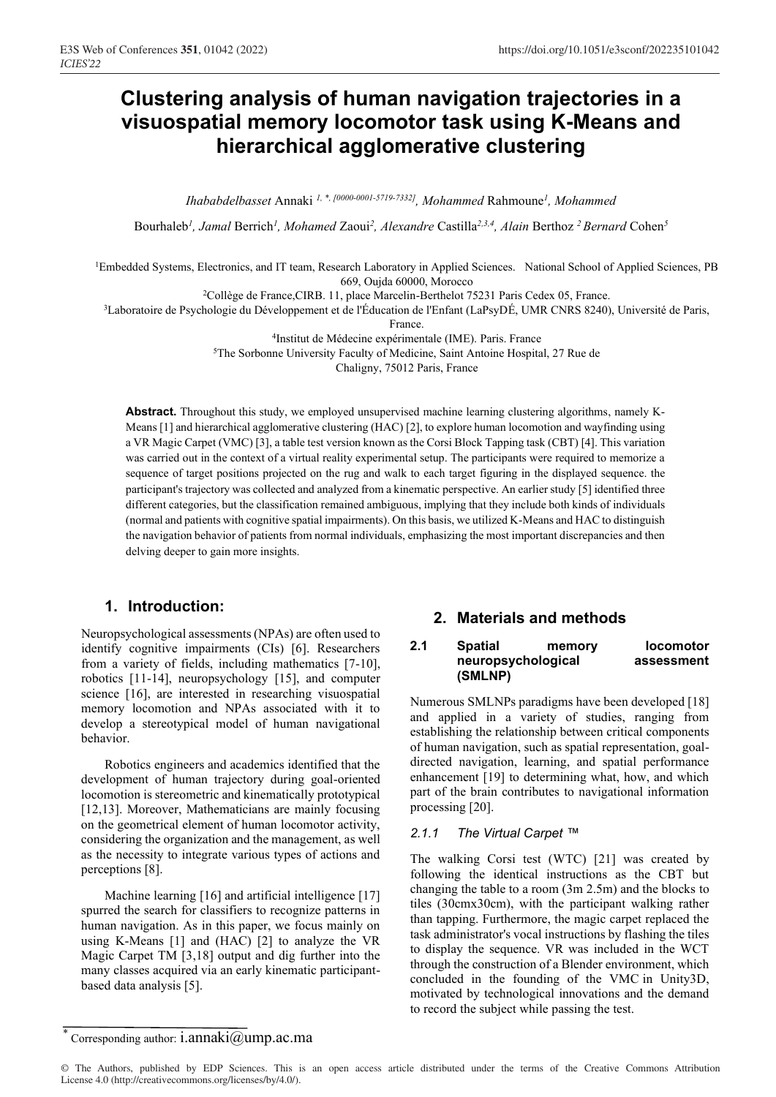# **Clustering analysis of human navigation trajectories in a visuospatial memory locomotor task using K-Means and hierarchical agglomerative clustering**

*Ihababdelbasset* Annaki *1, \*, [0000-0001-5719-7332], Mohammed* Rahmoune*<sup>1</sup> , Mohammed*

Bourhaleb<sup>1</sup>, Jamal Berrich<sup>1</sup>, Mohamed Zaoui<sup>2</sup>, Alexandre Castilla<sup>2,3,4</sup>, Alain Berthoz <sup>2</sup> Bernard Cohen<sup>5</sup>

<sup>1</sup>Embedded Systems, Electronics, and IT team, Research Laboratory in Applied Sciences. National School of Applied Sciences, PB 669, Oujda 60000, Morocco

2Collège de France,CIRB. 11, place Marcelin-Berthelot 75231 Paris Cedex 05, France.

3Laboratoire de Psychologie du Développement et de l'Éducation de l'Enfant (LaPsyDÉ, UMR CNRS 8240), Université de Paris,

France.

4Institut de Médecine expérimentale (IME). Paris. France

5The Sorbonne University Faculty of Medicine, Saint Antoine Hospital, 27 Rue de

Chaligny, 75012 Paris, France

**Abstract.** Throughout this study, we employed unsupervised machine learning clustering algorithms, namely K-Means [1] and hierarchical agglomerative clustering (HAC) [2], to explore human locomotion and wayfinding using a VR Magic Carpet (VMC) [3], a table test version known as the Corsi Block Tapping task (CBT) [4]. This variation was carried out in the context of a virtual reality experimental setup. The participants were required to memorize a sequence of target positions projected on the rug and walk to each target figuring in the displayed sequence. the participant's trajectory was collected and analyzed from a kinematic perspective. An earlier study [5] identified three different categories, but the classification remained ambiguous, implying that they include both kinds of individuals (normal and patients with cognitive spatial impairments). On this basis, we utilized K-Means and HAC to distinguish the navigation behavior of patients from normal individuals, emphasizing the most important discrepancies and then delving deeper to gain more insights.

# **1. Introduction:**

Neuropsychological assessments (NPAs) are often used to identify cognitive impairments (CIs) [6]. Researchers from a variety of fields, including mathematics [7-10], robotics [11-14], neuropsychology [15], and computer science [16], are interested in researching visuospatial memory locomotion and NPAs associated with it to develop a stereotypical model of human navigational behavior.

Robotics engineers and academics identified that the development of human trajectory during goal-oriented locomotion is stereometric and kinematically prototypical [12,13]. Moreover, Mathematicians are mainly focusing on the geometrical element of human locomotor activity, considering the organization and the management, as well as the necessity to integrate various types of actions and perceptions [8].

Machine learning [16] and artificial intelligence [17] spurred the search for classifiers to recognize patterns in human navigation. As in this paper, we focus mainly on using K-Means [1] and (HAC) [2] to analyze the VR Magic Carpet TM [3,18] output and dig further into the many classes acquired via an early kinematic participantbased data analysis [5].

# **2. Materials and methods**

#### **2.1 Spatial memory locomotor neuropsychological assessment (SMLNP)**

Numerous SMLNPs paradigms have been developed [18] and applied in a variety of studies, ranging from establishing the relationship between critical components of human navigation, such as spatial representation, goaldirected navigation, learning, and spatial performance enhancement [19] to determining what, how, and which part of the brain contributes to navigational information processing [20].

#### *2.1.1 The Virtual Carpet ™*

The walking Corsi test (WTC) [21] was created by following the identical instructions as the CBT but changing the table to a room (3m 2.5m) and the blocks to tiles (30cmx30cm), with the participant walking rather than tapping. Furthermore, the magic carpet replaced the task administrator's vocal instructions by flashing the tiles to display the sequence. VR was included in the WCT through the construction of a Blender environment, which concluded in the founding of the VMC in Unity3D, motivated by technological innovations and the demand to record the subject while passing the test.

Corresponding author: i.annaki $@$ ump.ac.ma

<sup>©</sup> The Authors, published by EDP Sciences. This is an open access article distributed under the terms of the Creative Commons Attribution License 4.0 (http://creativecommons.org/licenses/by/4.0/).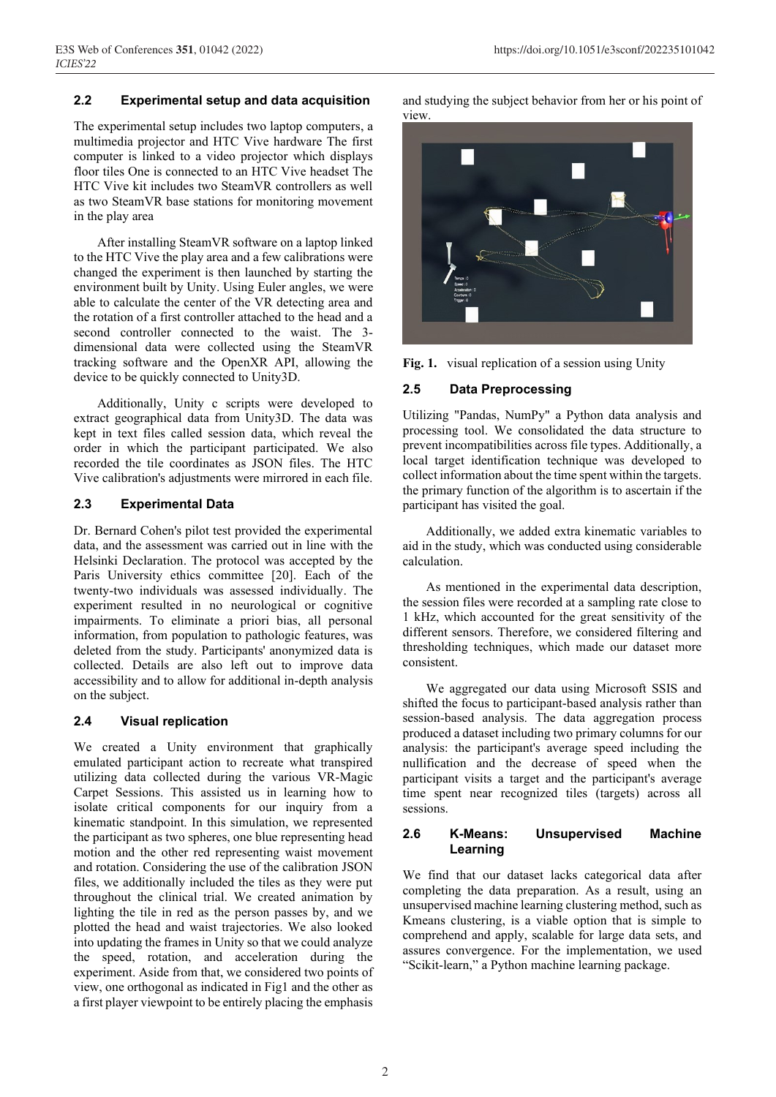### **2.2 Experimental setup and data acquisition**

The experimental setup includes two laptop computers, a multimedia projector and HTC Vive hardware The first computer is linked to a video projector which displays floor tiles One is connected to an HTC Vive headset The HTC Vive kit includes two SteamVR controllers as well as two SteamVR base stations for monitoring movement in the play area

After installing SteamVR software on a laptop linked to the HTC Vive the play area and a few calibrations were changed the experiment is then launched by starting the environment built by Unity. Using Euler angles, we were able to calculate the center of the VR detecting area and the rotation of a first controller attached to the head and a second controller connected to the waist. The 3 dimensional data were collected using the SteamVR tracking software and the OpenXR API, allowing the device to be quickly connected to Unity3D.

Additionally, Unity c scripts were developed to extract geographical data from Unity3D. The data was kept in text files called session data, which reveal the order in which the participant participated. We also recorded the tile coordinates as JSON files. The HTC Vive calibration's adjustments were mirrored in each file.

#### **2.3 Experimental Data**

Dr. Bernard Cohen's pilot test provided the experimental data, and the assessment was carried out in line with the Helsinki Declaration. The protocol was accepted by the Paris University ethics committee [20]. Each of the twenty-two individuals was assessed individually. The experiment resulted in no neurological or cognitive impairments. To eliminate a priori bias, all personal information, from population to pathologic features, was deleted from the study. Participants' anonymized data is collected. Details are also left out to improve data accessibility and to allow for additional in-depth analysis on the subject.

#### **2.4 Visual replication**

We created a Unity environment that graphically emulated participant action to recreate what transpired utilizing data collected during the various VR-Magic Carpet Sessions. This assisted us in learning how to isolate critical components for our inquiry from a kinematic standpoint. In this simulation, we represented the participant as two spheres, one blue representing head motion and the other red representing waist movement and rotation. Considering the use of the calibration JSON files, we additionally included the tiles as they were put throughout the clinical trial. We created animation by lighting the tile in red as the person passes by, and we plotted the head and waist trajectories. We also looked into updating the frames in Unity so that we could analyze the speed, rotation, and acceleration during the experiment. Aside from that, we considered two points of view, one orthogonal as indicated in Fig1 and the other as a first player viewpoint to be entirely placing the emphasis and studying the subject behavior from her or his point of view.



**Fig. 1.** visual replication of a session using Unity

### **2.5 Data Preprocessing**

Utilizing "Pandas, NumPy" a Python data analysis and processing tool. We consolidated the data structure to prevent incompatibilities across file types. Additionally, a local target identification technique was developed to collect information about the time spent within the targets. the primary function of the algorithm is to ascertain if the participant has visited the goal.

Additionally, we added extra kinematic variables to aid in the study, which was conducted using considerable calculation.

As mentioned in the experimental data description, the session files were recorded at a sampling rate close to 1 kHz, which accounted for the great sensitivity of the different sensors. Therefore, we considered filtering and thresholding techniques, which made our dataset more consistent.

We aggregated our data using Microsoft SSIS and shifted the focus to participant-based analysis rather than session-based analysis. The data aggregation process produced a dataset including two primary columns for our analysis: the participant's average speed including the nullification and the decrease of speed when the participant visits a target and the participant's average time spent near recognized tiles (targets) across all sessions.

### **2.6 K-Means: Unsupervised Machine Learning**

We find that our dataset lacks categorical data after completing the data preparation. As a result, using an unsupervised machine learning clustering method, such as Kmeans clustering, is a viable option that is simple to comprehend and apply, scalable for large data sets, and assures convergence. For the implementation, we used "Scikit-learn," a Python machine learning package.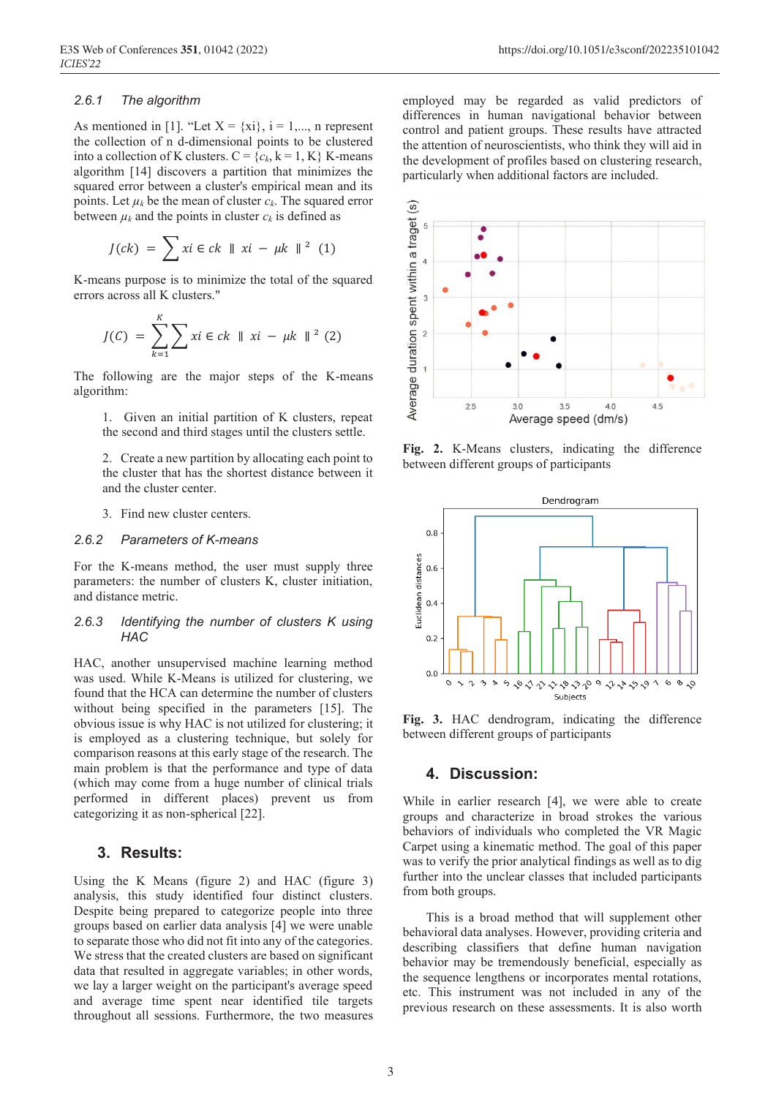#### *2.6.1 The algorithm*

As mentioned in [1]. "Let  $X = \{xi\}$ ,  $i = 1,..., n$  represent the collection of n d-dimensional points to be clustered into a collection of K clusters.  $C = \{c_k, k = 1, K\}$  K-means algorithm [14] discovers a partition that minimizes the squared error between a cluster's empirical mean and its points. Let  $\mu_k$  be the mean of cluster  $c_k$ . The squared error between  $\mu_k$  and the points in cluster  $c_k$  is defined as

$$
J(ck) = \sum x i \in ck \parallel xi - \mu k \parallel^2 (1)
$$

K-means purpose is to minimize the total of the squared errors across all K clusters."

$$
J(C) = \sum_{k=1}^{K} \sum x i \in ck \parallel xi - \mu k \parallel^{2} (2)
$$

The following are the major steps of the K-means algorithm:

1. Given an initial partition of K clusters, repeat the second and third stages until the clusters settle.

2. Create a new partition by allocating each point to the cluster that has the shortest distance between it and the cluster center.

3. Find new cluster centers.

## *2.6.2 Parameters of K-means*

For the K-means method, the user must supply three parameters: the number of clusters K, cluster initiation, and distance metric.

#### *2.6.3 Identifying the number of clusters K using HAC*

HAC, another unsupervised machine learning method was used. While K-Means is utilized for clustering, we found that the HCA can determine the number of clusters without being specified in the parameters [15]. The obvious issue is why HAC is not utilized for clustering; it is employed as a clustering technique, but solely for comparison reasons at this early stage of the research. The main problem is that the performance and type of data (which may come from a huge number of clinical trials performed in different places) prevent us from categorizing it as non-spherical [22].

# **3. Results:**

Using the K Means (figure 2) and HAC (figure 3) analysis, this study identified four distinct clusters. Despite being prepared to categorize people into three groups based on earlier data analysis [4] we were unable to separate those who did not fit into any of the categories. We stress that the created clusters are based on significant data that resulted in aggregate variables; in other words, we lay a larger weight on the participant's average speed and average time spent near identified tile targets throughout all sessions. Furthermore, the two measures

employed may be regarded as valid predictors of differences in human navigational behavior between control and patient groups. These results have attracted the attention of neuroscientists, who think they will aid in the development of profiles based on clustering research, particularly when additional factors are included.



**Fig. 2.** K-Means clusters, indicating the difference between different groups of participants



**Fig. 3.** HAC dendrogram, indicating the difference between different groups of participants

## **4. Discussion:**

While in earlier research [4], we were able to create groups and characterize in broad strokes the various behaviors of individuals who completed the VR Magic Carpet using a kinematic method. The goal of this paper was to verify the prior analytical findings as well as to dig further into the unclear classes that included participants from both groups.

This is a broad method that will supplement other behavioral data analyses. However, providing criteria and describing classifiers that define human navigation behavior may be tremendously beneficial, especially as the sequence lengthens or incorporates mental rotations, etc. This instrument was not included in any of the previous research on these assessments. It is also worth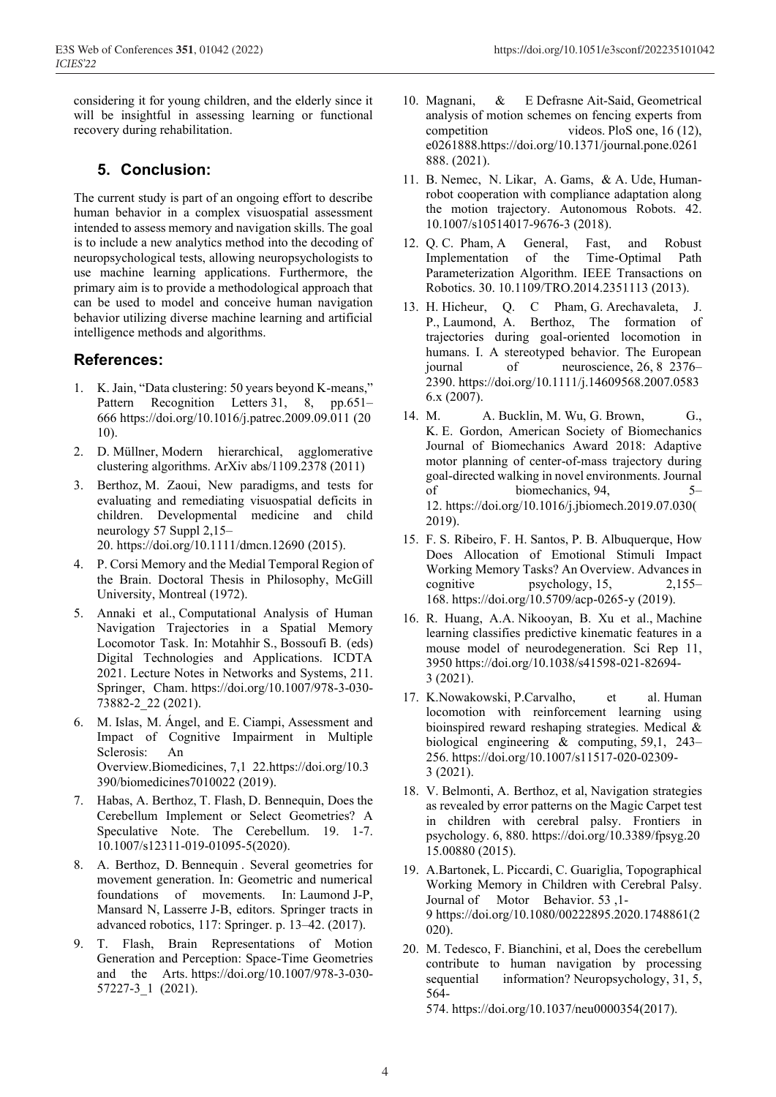considering it for young children, and the elderly since it will be insightful in assessing learning or functional recovery during rehabilitation.

# **5. Conclusion:**

The current study is part of an ongoing effort to describe human behavior in a complex visuospatial assessment intended to assess memory and navigation skills. The goal is to include a new analytics method into the decoding of neuropsychological tests, allowing neuropsychologists to use machine learning applications. Furthermore, the primary aim is to provide a methodological approach that can be used to model and conceive human navigation behavior utilizing diverse machine learning and artificial intelligence methods and algorithms.

# **References:**

- 1. K. Jain, "Data clustering: 50 years beyond K-means," Pattern Recognition Letters 31, 8, pp.651– 666 https://doi.org/10.1016/j.patrec.2009.09.011 (20 10).
- 2. D. Müllner, Modern hierarchical, agglomerative clustering algorithms. ArXiv abs/1109.2378 (2011)
- 3. Berthoz, M. Zaoui, New paradigms, and tests for evaluating and remediating visuospatial deficits in children. Developmental medicine and child neurology 57 Suppl 2,15–

20. https://doi.org/10.1111/dmcn.12690 (2015).

- 4. P. Corsi Memory and the Medial Temporal Region of the Brain. Doctoral Thesis in Philosophy, McGill University, Montreal (1972).
- 5. Annaki et al., Computational Analysis of Human Navigation Trajectories in a Spatial Memory Locomotor Task. In: Motahhir S., Bossoufi B. (eds) Digital Technologies and Applications. ICDTA 2021. Lecture Notes in Networks and Systems, 211. Springer, Cham. https://doi.org/10.1007/978-3-030- 73882-2\_22 (2021).
- 6. M. Islas, M. Ángel, and E. Ciampi, Assessment and Impact of Cognitive Impairment in Multiple Sclerosis: An Overview.Biomedicines, 7,1 22.https://doi.org/10.3 390/biomedicines7010022 (2019).
- 7. Habas, A. Berthoz, T. Flash, D. Bennequin, Does the Cerebellum Implement or Select Geometries? A Speculative Note. The Cerebellum. 19. 1-7. 10.1007/s12311-019-01095-5(2020).
- 8. A. Berthoz, D. Bennequin . Several geometries for movement generation. In: Geometric and numerical foundations of movements. In: Laumond J-P, Mansard N, Lasserre J-B, editors. Springer tracts in advanced robotics, 117: Springer. p. 13–42. (2017).
- 9. T. Flash, Brain Representations of Motion Generation and Perception: Space-Time Geometries and the Arts. https://doi.org/10.1007/978-3-030- 57227-3\_1 (2021).
- 10. Magnani, & E Defrasne Ait-Said, Geometrical analysis of motion schemes on fencing experts from competition videos. PloS one, 16 (12), e0261888.https://doi.org/10.1371/journal.pone.0261 888. (2021).
- 11. B. Nemec, N. Likar, A. Gams, & A. Ude, Humanrobot cooperation with compliance adaptation along the motion trajectory. Autonomous Robots. 42. 10.1007/s10514017-9676-3 (2018).
- 12. Q. C. Pham, A General, Fast, and Robust Implementation of the Time-Optimal Path Parameterization Algorithm. IEEE Transactions on Robotics. 30. 10.1109/TRO.2014.2351113 (2013).
- 13. H. Hicheur, Q. C Pham, G. Arechavaleta, J. P., Laumond, A. Berthoz, The formation of trajectories during goal-oriented locomotion in humans. I. A stereotyped behavior. The European journal of neuroscience, 26, 8 2376– 2390. https://doi.org/10.1111/j.14609568.2007.0583 6.x (2007).
- 14. M. A. Bucklin, M. Wu, G. Brown, G., K. E. Gordon, American Society of Biomechanics Journal of Biomechanics Award 2018: Adaptive motor planning of center-of-mass trajectory during goal-directed walking in novel environments. Journal of biomechanics, 94, 5– 12. https://doi.org/10.1016/j.jbiomech.2019.07.030( 2019).
- 15. F. S. Ribeiro, F. H. Santos, P. B. Albuquerque, How Does Allocation of Emotional Stimuli Impact Working Memory Tasks? An Overview. Advances in cognitive psychology, 15, 2,155– 168. https://doi.org/10.5709/acp-0265-y (2019).
- 16. R. Huang, A.A. Nikooyan, B. Xu et al., Machine learning classifies predictive kinematic features in a mouse model of neurodegeneration. Sci Rep 11, 3950 https://doi.org/10.1038/s41598-021-82694- 3 (2021).
- 17. K.Nowakowski, P.Carvalho, et al. Human locomotion with reinforcement learning using bioinspired reward reshaping strategies. Medical & biological engineering & computing, 59,1, 243– 256. https://doi.org/10.1007/s11517-020-02309- 3 (2021).
- 18. V. Belmonti, A. Berthoz, et al, Navigation strategies as revealed by error patterns on the Magic Carpet test in children with cerebral palsy. Frontiers in psychology. 6, 880. https://doi.org/10.3389/fpsyg.20 15.00880 (2015).
- 19. A.Bartonek, L. Piccardi, C. Guariglia, Topographical Working Memory in Children with Cerebral Palsy. Journal of Motor Behavior. 53 ,1- 9 https://doi.org/10.1080/00222895.2020.1748861(2 020).
- 20. M. Tedesco, F. Bianchini, et al, Does the cerebellum contribute to human navigation by processing sequential information? Neuropsychology, 31, 5, 564-

574. https://doi.org/10.1037/neu0000354(2017).